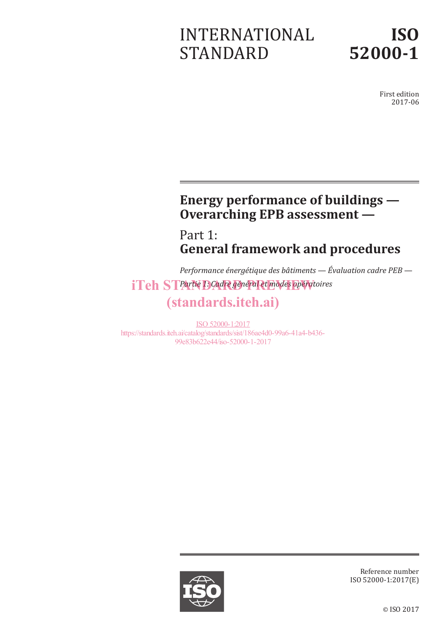# INTERNATIONAL STANDARD



First edition 2017-06

# **Energy performance of buildings — Overarching EPB assessment —**

Part 1: **General framework and procedures**

*Performance énergétique des bâtiments — Évaluation cadre PEB iTeh STPartie 1: Cadre général et modes opératoires* 

# (standards.iteh.ai)

ISO 52000-1:2017 https://standards.iteh.ai/catalog/standards/sist/186ae4d0-99a6-41a4-b436- 99e83b622e44/iso-52000-1-2017



Reference number ISO 52000-1:2017(E)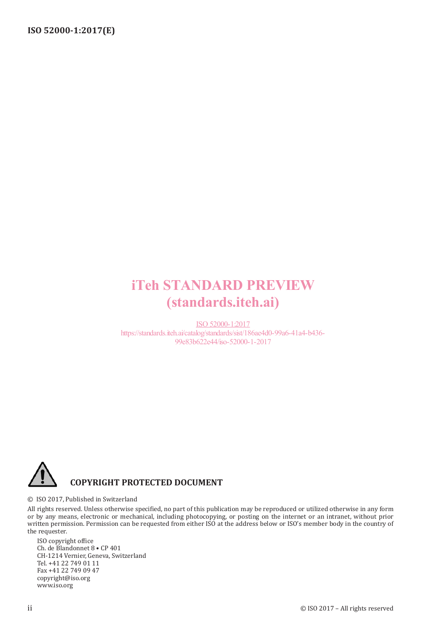# iTeh STANDARD PREVIEW (standards.iteh.ai)

ISO 52000-1:2017 https://standards.iteh.ai/catalog/standards/sist/186ae4d0-99a6-41a4-b436- 99e83b622e44/iso-52000-1-2017



#### © ISO 2017, Published in Switzerland

All rights reserved. Unless otherwise specified, no part of this publication may be reproduced or utilized otherwise in any form or by any means, electronic or mechanical, including photocopying, or posting on the internet or an intranet, without prior written permission. Permission can be requested from either ISO at the address below or ISO's member body in the country of the requester.

ISO copyright office Ch. de Blandonnet 8 • CP 401 CH-1214 Vernier, Geneva, Switzerland Tel. +41 22 749 01 11 Fax +41 22 749 09 47 copyright@iso.org www.iso.org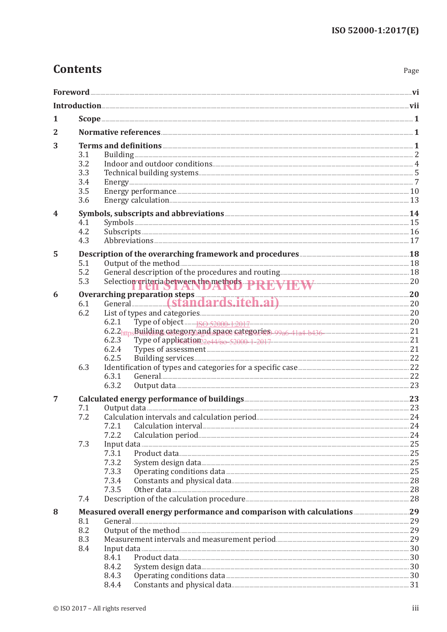# **Contents**

Page

| 1 |                                                                                                                                                                                                                     |  |
|---|---------------------------------------------------------------------------------------------------------------------------------------------------------------------------------------------------------------------|--|
| 2 |                                                                                                                                                                                                                     |  |
| 3 | 3.1<br>3.2<br>3.3<br>3.4<br>3.5<br>3.6                                                                                                                                                                              |  |
| 4 | 4.1<br>4.2<br>4.3                                                                                                                                                                                                   |  |
| 5 | Description of the overarching framework and procedures <b>Engineering the Second Lines</b> 18<br>5.1<br>5.2<br>Selection criteria between the methods PREVIEW W 20<br>5.3                                          |  |
| 6 | Overarching preparation steps 20<br>6.1 General <b>Canadian Cards.iteh.ai</b> 20<br>20<br>6.2<br>6.2.1<br>Building category and space categories 99a6-41a4-6436<br>6.2.2 <sub>http</sub><br>6.2.3<br>6.2.4<br>6.2.5 |  |
|   | 6.3<br>Identification of types and categories for a specific case <b>Manual Constant Constant Constant</b> 22<br>General 22<br>6.3.1<br>6.3.2                                                                       |  |
| 7 | 7.1<br>7.2<br>7.2.1<br>7.2.2<br>7.3<br>7.3.1<br>7.3.2<br>7.3.3<br>7.3.4<br>7.3.5                                                                                                                                    |  |
| 8 | 7.4<br>8.1<br>Output of the method <b>Constitution</b> 29<br>8.2<br>8.3<br>8.4<br>8.4.1<br>8.4.2<br>8.4.3<br>8.4.4                                                                                                  |  |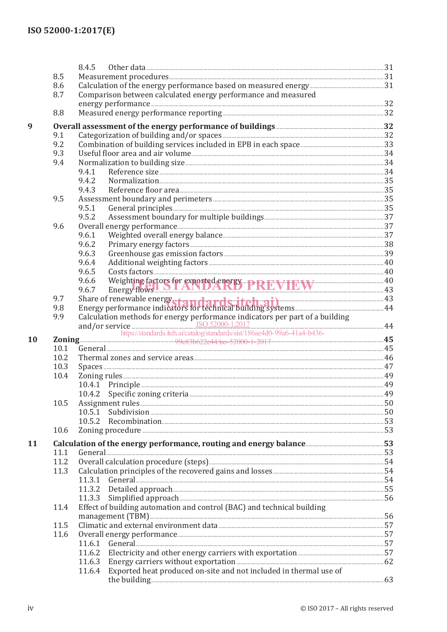|           |      | 8.4.5                                                                                                                                                                                                            |  |  |  |  |  |  |  |  |
|-----------|------|------------------------------------------------------------------------------------------------------------------------------------------------------------------------------------------------------------------|--|--|--|--|--|--|--|--|
|           | 8.5  |                                                                                                                                                                                                                  |  |  |  |  |  |  |  |  |
|           | 8.6  |                                                                                                                                                                                                                  |  |  |  |  |  |  |  |  |
|           | 8.7  | Comparison between calculated energy performance and measured                                                                                                                                                    |  |  |  |  |  |  |  |  |
|           |      | energy performance 32                                                                                                                                                                                            |  |  |  |  |  |  |  |  |
|           | 8.8  |                                                                                                                                                                                                                  |  |  |  |  |  |  |  |  |
|           |      |                                                                                                                                                                                                                  |  |  |  |  |  |  |  |  |
| 9         |      | Overall assessment of the energy performance of buildings <b>SECONDITY 32</b>                                                                                                                                    |  |  |  |  |  |  |  |  |
|           | 9.1  |                                                                                                                                                                                                                  |  |  |  |  |  |  |  |  |
|           | 9.2  |                                                                                                                                                                                                                  |  |  |  |  |  |  |  |  |
|           | 9.3  |                                                                                                                                                                                                                  |  |  |  |  |  |  |  |  |
|           | 9.4  |                                                                                                                                                                                                                  |  |  |  |  |  |  |  |  |
|           |      | 9.4.1                                                                                                                                                                                                            |  |  |  |  |  |  |  |  |
|           |      | 9.4.2                                                                                                                                                                                                            |  |  |  |  |  |  |  |  |
|           |      | 9.4.3                                                                                                                                                                                                            |  |  |  |  |  |  |  |  |
|           | 9.5  |                                                                                                                                                                                                                  |  |  |  |  |  |  |  |  |
|           |      | 9.5.1                                                                                                                                                                                                            |  |  |  |  |  |  |  |  |
|           |      | 9.5.2                                                                                                                                                                                                            |  |  |  |  |  |  |  |  |
|           | 9.6  |                                                                                                                                                                                                                  |  |  |  |  |  |  |  |  |
|           |      | 9.6.1                                                                                                                                                                                                            |  |  |  |  |  |  |  |  |
|           |      | 9.6.2                                                                                                                                                                                                            |  |  |  |  |  |  |  |  |
|           |      | 9.6.3                                                                                                                                                                                                            |  |  |  |  |  |  |  |  |
|           |      | 9.6.4                                                                                                                                                                                                            |  |  |  |  |  |  |  |  |
|           |      | 9.6.5                                                                                                                                                                                                            |  |  |  |  |  |  |  |  |
|           |      | Weighting factors for exported energy PREVIEW 40<br>9.6.6                                                                                                                                                        |  |  |  |  |  |  |  |  |
|           |      | 9.6.7                                                                                                                                                                                                            |  |  |  |  |  |  |  |  |
|           | 9.7  |                                                                                                                                                                                                                  |  |  |  |  |  |  |  |  |
|           |      | 9.8<br>9.9                                                                                                                                                                                                       |  |  |  |  |  |  |  |  |
|           |      |                                                                                                                                                                                                                  |  |  |  |  |  |  |  |  |
|           |      | Calculation methods for energy performance indicators per part of a building<br>and/or service $\frac{\text{ISO }52000-1:2017}{\text{https://standards.iteh.a/catalog/standards/sist/186ae4d0-99a6-41a4-b436-}}$ |  |  |  |  |  |  |  |  |
| <b>10</b> |      | $\frac{1}{45}$                                                                                                                                                                                                   |  |  |  |  |  |  |  |  |
|           | 10.1 | General 45                                                                                                                                                                                                       |  |  |  |  |  |  |  |  |
|           | 10.2 |                                                                                                                                                                                                                  |  |  |  |  |  |  |  |  |
|           | 10.3 |                                                                                                                                                                                                                  |  |  |  |  |  |  |  |  |
|           | 10.4 |                                                                                                                                                                                                                  |  |  |  |  |  |  |  |  |
|           |      |                                                                                                                                                                                                                  |  |  |  |  |  |  |  |  |
|           |      |                                                                                                                                                                                                                  |  |  |  |  |  |  |  |  |
|           | 10.5 |                                                                                                                                                                                                                  |  |  |  |  |  |  |  |  |
|           |      | 10.5.1                                                                                                                                                                                                           |  |  |  |  |  |  |  |  |
|           |      | 10.5.2                                                                                                                                                                                                           |  |  |  |  |  |  |  |  |
|           | 10.6 |                                                                                                                                                                                                                  |  |  |  |  |  |  |  |  |
| 11        |      |                                                                                                                                                                                                                  |  |  |  |  |  |  |  |  |
|           | 11.1 |                                                                                                                                                                                                                  |  |  |  |  |  |  |  |  |
|           | 11.2 |                                                                                                                                                                                                                  |  |  |  |  |  |  |  |  |
|           | 11.3 |                                                                                                                                                                                                                  |  |  |  |  |  |  |  |  |
|           |      |                                                                                                                                                                                                                  |  |  |  |  |  |  |  |  |
|           |      |                                                                                                                                                                                                                  |  |  |  |  |  |  |  |  |
|           |      | 11.3.3 Simplified approach <b>Constitution</b> 56                                                                                                                                                                |  |  |  |  |  |  |  |  |
|           | 11.4 | Effect of building automation and control (BAC) and technical building                                                                                                                                           |  |  |  |  |  |  |  |  |
|           |      |                                                                                                                                                                                                                  |  |  |  |  |  |  |  |  |
|           | 11.5 |                                                                                                                                                                                                                  |  |  |  |  |  |  |  |  |
|           | 11.6 |                                                                                                                                                                                                                  |  |  |  |  |  |  |  |  |
|           |      |                                                                                                                                                                                                                  |  |  |  |  |  |  |  |  |
|           |      |                                                                                                                                                                                                                  |  |  |  |  |  |  |  |  |
|           |      | 11.6.2                                                                                                                                                                                                           |  |  |  |  |  |  |  |  |
|           |      | 11.6.3                                                                                                                                                                                                           |  |  |  |  |  |  |  |  |
|           |      | Exported heat produced on-site and not included in thermal use of<br>11.6.4                                                                                                                                      |  |  |  |  |  |  |  |  |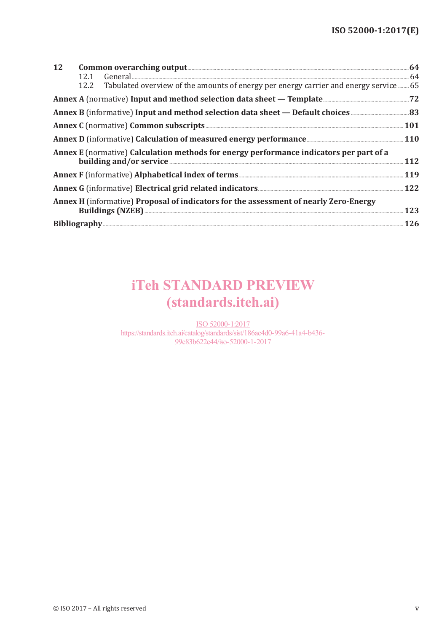| <b>12</b> | Common overarching output 64<br>12.1 General 64 |                                                                                                                                                                                                                                     |      |  |  |  |  |
|-----------|-------------------------------------------------|-------------------------------------------------------------------------------------------------------------------------------------------------------------------------------------------------------------------------------------|------|--|--|--|--|
|           |                                                 |                                                                                                                                                                                                                                     |      |  |  |  |  |
|           |                                                 | 12.2 Tabulated overview of the amounts of energy per energy carrier and energy service  65                                                                                                                                          |      |  |  |  |  |
|           |                                                 |                                                                                                                                                                                                                                     |      |  |  |  |  |
|           |                                                 |                                                                                                                                                                                                                                     |      |  |  |  |  |
|           |                                                 | Annex C (normative) Common subscripts <b>Executive</b> Service of the Service Service Service Service Service Service Service Service Service Service Service Service Service Service Service Service Service Service Service Servi | .101 |  |  |  |  |
|           |                                                 | Annex D (informative) Calculation of measured energy performance <b>Energiese State 110</b>                                                                                                                                         |      |  |  |  |  |
|           |                                                 | Annex E (normative) Calculation methods for energy performance indicators per part of a                                                                                                                                             |      |  |  |  |  |
|           |                                                 |                                                                                                                                                                                                                                     | 112  |  |  |  |  |
|           |                                                 |                                                                                                                                                                                                                                     | .119 |  |  |  |  |
|           |                                                 |                                                                                                                                                                                                                                     | 122  |  |  |  |  |
|           |                                                 | Annex H (informative) Proposal of indicators for the assessment of nearly Zero-Energy                                                                                                                                               |      |  |  |  |  |
|           |                                                 |                                                                                                                                                                                                                                     | 123  |  |  |  |  |
|           |                                                 |                                                                                                                                                                                                                                     | 126  |  |  |  |  |

# iTeh STANDARD PREVIEW (standards.iteh.ai)

ISO 52000-1:2017 https://standards.iteh.ai/catalog/standards/sist/186ae4d0-99a6-41a4-b436- 99e83b622e44/iso-52000-1-2017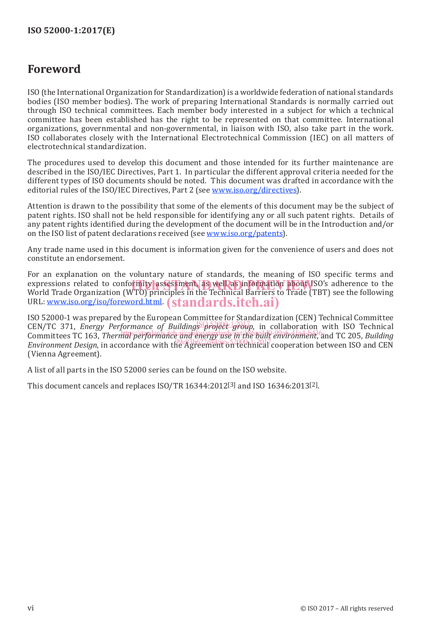## **Foreword**

ISO (the International Organization for Standardization) is a worldwide federation of national standards bodies (ISO member bodies). The work of preparing International Standards is normally carried out through ISO technical committees. Each member body interested in a subject for which a technical committee has been established has the right to be represented on that committee. International organizations, governmental and non-governmental, in liaison with ISO, also take part in the work. ISO collaborates closely with the International Electrotechnical Commission (IEC) on all matters of electrotechnical standardization.

The procedures used to develop this document and those intended for its further maintenance are described in the ISO/IEC Directives, Part 1. In particular the different approval criteria needed for the different types of ISO documents should be noted. This document was drafted in accordance with the editorial rules of the ISO/IEC Directives, Part 2 (see www.iso.org/directives).

Attention is drawn to the possibility that some of the elements of this document may be the subject of patent rights. ISO shall not be held responsible for identifying any or all such patent rights. Details of any patent rights identified during the development of the document will be in the Introduction and/or on the ISO list of patent declarations received (see www.iso.org/patents).

Any trade name used in this document is information given for the convenience of users and does not constitute an endorsement.

For an explanation on the voluntary nature of standards, the meaning of ISO specific terms and expressions related to conformity assessment, as well as information about ISO's adherence to the<br>World Trade Organization (WTO) principles in the Technical Barriers to Trade (TBT) see the following World Trade Organization (WTO) principles in the Technical Barriers to Trade (TBT) see the following URL: <u>www.iso.org/iso/foreword.html</u>. (standards.iteh.ai)

ISO 52000-1 was prepared by the European Committee for Standardization (CEN) Technical Committee CEN/TC 371, *Energy Performance of Buildings project group*, in collaboration with ISO Technical Committees TC 163, *Thermal performance and energy use in the built environment*, and TC 205, *Building Environment Design*, in accordance with the Agreement on technical cooperation between ISO and CEN Environment Design, in accordance with the Agreement on technical cooperation between ISO and CEN (Vienna Agreement).

A list of all parts in the ISO 52000 series can be found on the ISO website.

This document cancels and replaces ISO/TR 16344:2012[3] and ISO 16346:2013[2].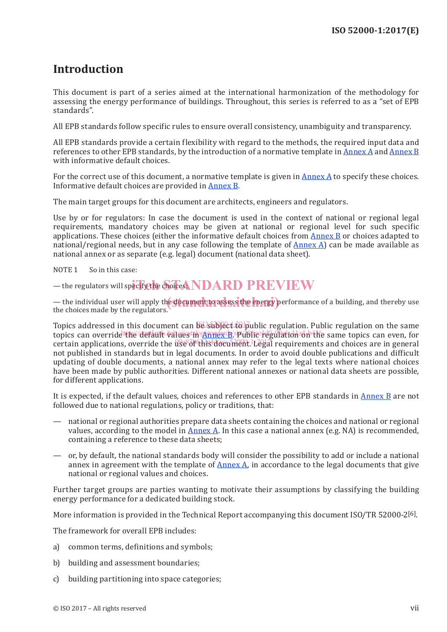## **Introduction**

This document is part of a series aimed at the international harmonization of the methodology for assessing the energy performance of buildings. Throughout, this series is referred to as a "set of EPB standards".

All EPB standards follow specific rules to ensure overall consistency, unambiguity and transparency.

All EPB standards provide a certain flexibility with regard to the methods, the required input data and references to other EPB standards, by the introduction of a normative template in Annex A and Annex B with informative default choices.

For the correct use of this document, a normative template is given in Annex A to specify these choices. Informative default choices are provided in Annex B.

The main target groups for this document are architects, engineers and regulators.

Use by or for regulators: In case the document is used in the context of national or regional legal requirements, mandatory choices may be given at national or regional level for such specific applications. These choices (either the informative default choices from  $\frac{\text{Annex }B}{\text{On}}$  or choices adapted to national/regional needs, but in any case following the template of  $\Delta$ nnex  $\Delta$ ) can be made available as national annex or as separate (e.g. legal) document (national data sheet).

NOTE 1 So in this case:

— the regulators will specify the choices, NDARD PREVIEW

— the individual user will apply the document to assess the energy performance of a building, and thereby use<br>the choices made by the regulators the choices made by the regulators.

Topics addressed in this document can be subject to public regulation. Public regulation on the same topics can override the default values in Annex B spublic regulation on the same topics can even, for certain applications, override the use of this document. Legal requirements and choices are in general not published in standards but in legal documents. In order to avoid double publications and difficult updating of double documents, a national annex may refer to the legal texts where national choices have been made by public authorities. Different national annexes or national data sheets are possible, for different applications.

It is expected, if the default values, choices and references to other EPB standards in Annex B are not followed due to national regulations, policy or traditions, that:

- national or regional authorities prepare data sheets containing the choices and national or regional values, according to the model in  $\frac{\text{Annex A}}{\text{Annex A}}$ . In this case a national annex (e.g. NA) is recommended, containing a reference to these data sheets;
- or, by default, the national standards body will consider the possibility to add or include a national annex in agreement with the template of  $\Delta$ nnex  $\Delta$ , in accordance to the legal documents that give national or regional values and choices.

Further target groups are parties wanting to motivate their assumptions by classifying the building energy performance for a dedicated building stock.

More information is provided in the Technical Report accompanying this document ISO/TR 52000-2[6].

The framework for overall EPB includes:

- a) common terms, definitions and symbols;
- b) building and assessment boundaries;
- c) building partitioning into space categories;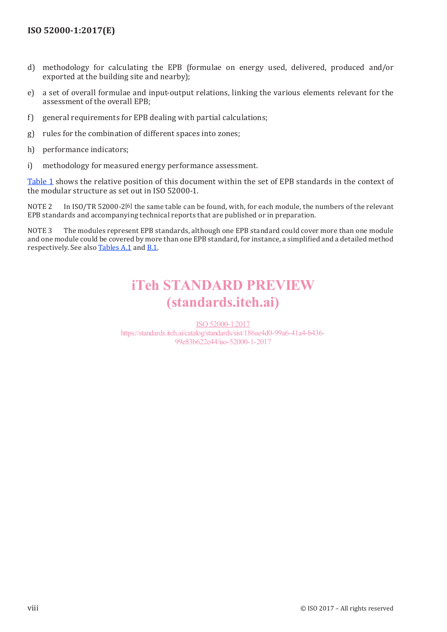- d) methodology for calculating the EPB (formulae on energy used, delivered, produced and/or exported at the building site and nearby);
- e) a set of overall formulae and input-output relations, linking the various elements relevant for the assessment of the overall EPB;
- f) general requirements for EPB dealing with partial calculations;
- g) rules for the combination of different spaces into zones;
- h) performance indicators;
- i) methodology for measured energy performance assessment.

Table 1 shows the relative position of this document within the set of EPB standards in the context of the modular structure as set out in ISO 52000-1.

NOTE 2 In ISO/TR 52000-2<sup>[6]</sup> the same table can be found, with, for each module, the numbers of the relevant EPB standards and accompanying technical reports that are published or in preparation.

NOTE 3 The modules represent EPB standards, although one EPB standard could cover more than one module and one module could be covered by more than one EPB standard, for instance, a simplified and a detailed method respectively. See also Tables A.1 and B.1.

# iTeh STANDARD PREVIEW (standards.iteh.ai)

ISO 52000-1:2017 https://standards.iteh.ai/catalog/standards/sist/186ae4d0-99a6-41a4-b436- 99e83b622e44/iso-52000-1-2017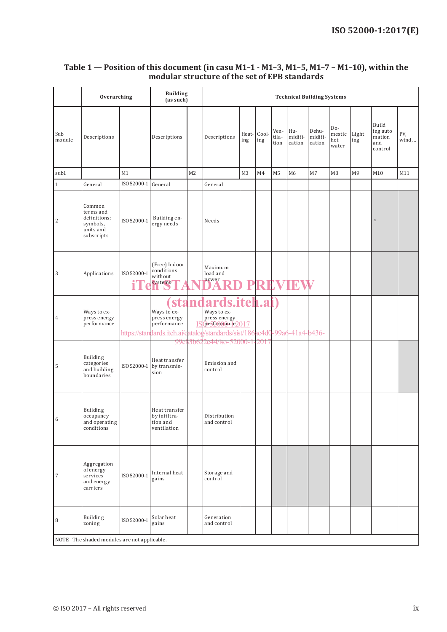#### **Table 1 — Position of this document (in casu M1–1 - M1–3, M1–5, M1–7 – M1–10), within the modular structure of the set of EPB standards**

|                                             | Overarching                                                                |             | <b>Building</b><br>(as such)                                                                                            |                | <b>Technical Building Systems</b>                                             |                    |     |                       |                          |                            |                                     |                |                                               |              |  |
|---------------------------------------------|----------------------------------------------------------------------------|-------------|-------------------------------------------------------------------------------------------------------------------------|----------------|-------------------------------------------------------------------------------|--------------------|-----|-----------------------|--------------------------|----------------------------|-------------------------------------|----------------|-----------------------------------------------|--------------|--|
| Sub<br>module                               | Descriptions                                                               |             | Descriptions                                                                                                            |                | Descriptions                                                                  | Heat- Cool-<br>ing | ing | Ven-<br>tila-<br>tion | Hu-<br>midifi-<br>cation | Dehu-<br>midifi-<br>cation | Do-<br>$\rm mestic$<br>hot<br>water | Light<br>ing   | Build<br>ing auto<br>mation<br>and<br>control | PV,<br>wind, |  |
| sub1                                        |                                                                            | M1          |                                                                                                                         | M <sub>2</sub> |                                                                               | M <sub>3</sub>     | M4  | M <sub>5</sub>        | M <sub>6</sub>           | M7                         | M8                                  | M <sub>9</sub> | M10                                           | M11          |  |
| $\vert$ 1                                   | General                                                                    | ISO 52000-1 | General                                                                                                                 |                | General                                                                       |                    |     |                       |                          |                            |                                     |                |                                               |              |  |
| $\overline{2}$                              | Common<br>terms and<br>definitions;<br>symbols,<br>units and<br>subscripts | ISO 52000-1 | Building en-<br>ergy needs                                                                                              |                | Needs                                                                         |                    |     |                       |                          |                            |                                     |                | $\rm{a}$                                      |              |  |
| $\overline{3}$                              | Applications                                                               | ISO 52000-1 | (Free) Indoor<br>conditions<br>without<br>systems                                                                       |                | Maximum<br>load and<br>power                                                  |                    |     |                       | PREVIEW                  |                            |                                     |                |                                               |              |  |
| 4                                           | Ways to ex-<br>press energy<br>performance                                 |             | Ways to ex-<br>press energy<br>performance<br>https://standards.iteh.ai/datalog/standards/sist/186he4d0-99a6-41a4-b436- | stand<br>IS    | ards.iteh.ai<br>Ways to ex-<br>press energy<br>$\left( \frac{\pi}{2} \right)$ |                    |     |                       |                          |                            |                                     |                |                                               |              |  |
| 5                                           | Building<br>categories<br>and building<br>boundaries                       | ISO 52000-1 | Heat transfer<br>by transmis-<br>sion                                                                                   |                | 99e83b622e44/iso-52000-14201<br>Emission and<br>control                       |                    |     |                       |                          |                            |                                     |                |                                               |              |  |
| 6                                           | <b>Building</b><br>occupancy<br>and operating<br>conditions                |             | Heat transfer<br>by infiltra-<br>tion and<br>ventilation                                                                |                | Distribution<br>and control                                                   |                    |     |                       |                          |                            |                                     |                |                                               |              |  |
| 7                                           | Aggregation<br>of energy<br>services<br>and energy<br>carriers             | ISO 52000-1 | Internal heat<br>gains                                                                                                  |                | Storage and<br>control                                                        |                    |     |                       |                          |                            |                                     |                |                                               |              |  |
| 8                                           | Building<br>zoning                                                         | ISO 52000-1 | Solar heat<br>gains                                                                                                     |                | Generation<br>and control                                                     |                    |     |                       |                          |                            |                                     |                |                                               |              |  |
| NOTE The shaded modules are not applicable. |                                                                            |             |                                                                                                                         |                |                                                                               |                    |     |                       |                          |                            |                                     |                |                                               |              |  |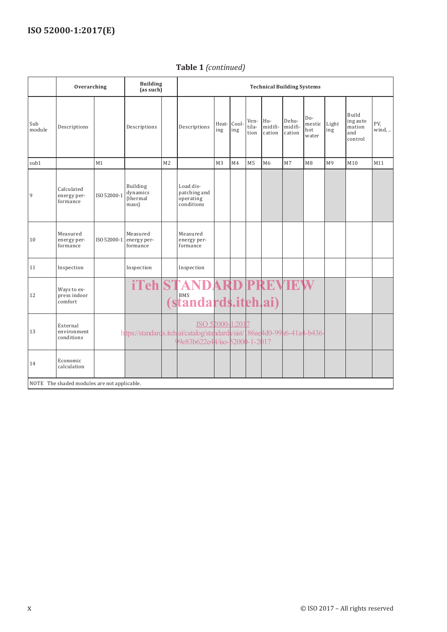**Overarching Building**<br>(as such) **(as such) Technical Building Systems** Sub<br>module Descriptions Descriptions Descriptions  $\left| \begin{array}{c} \text{Descriptions} \\ \text{Descriptions} \end{array} \right|$ ing Cooling Ven-tilation Hu-midification Dehumidification Domestic hot water Light ing Build ing auto  $\frac{1}{1}$  mation and control PV, wind, . sub1 M1 M2 M3 M4 M5 M6 M7 M8 M9 M10 M11 9 Calculated energy performance ISO 52000-1 Building dynamics (thermal mass) Load dis-patching and operating conditions 10 Measured energy performance ISO 52000-1 Measured energy performance Measured energy performance 11 Inspection Inspection Inspection Inspection 12 Ways to express indoor comfort **BMS**<br>tanda 13 External environment conditions 14 **Economic**<br>calculation NOTE The shaded modules are not applicable. iTeh STANDARD PREVIEW (standards.iteh.ai) ISO 52000-1:201 htps://standards.iteh.ai/catalog/standards/sist/186ae4d0-99a6-41a4-b436<br>- 99e83b622e44/iso-52000-1-2017 99e83b622e44/iso-52000-1-2017

**Table 1** *(continued)*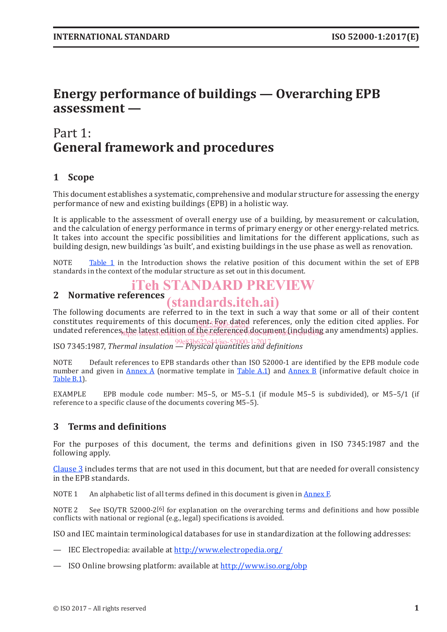# **Energy performance of buildings — Overarching EPB assessment —**

# Part 1: **General framework and procedures**

## **1 Scope**

This document establishes a systematic, comprehensive and modular structure for assessing the energy performance of new and existing buildings (EPB) in a holistic way.

It is applicable to the assessment of overall energy use of a building, by measurement or calculation, and the calculation of energy performance in terms of primary energy or other energy-related metrics. It takes into account the specific possibilities and limitations for the different applications, such as building design, new buildings 'as built', and existing buildings in the use phase as well as renovation.

NOTE Table 1 in the Introduction shows the relative position of this document within the set of EPB standards in the context of the modular structure as set out in this document.

# iTeh STANDARD PREVIEW

# **2 Normative references** (standards.iteh.ai)

The following documents are referred to in the text in such a way that some or all of their content constitutes requirements of this documents  $\frac{1}{200}$  dated references, only the edition cited applies. For undated references, the latest edition of the referenced document (including any amendments) applies.

ISO 7345:1987, *Thermal insulation — Physical quantities and definitions* 99e83b622e44/iso-52000-1-2017

NOTE Default references to EPB standards other than ISO 52000-1 are identified by the EPB module code number and given in  $\Delta$  (normative template in Table A.1) and  $\Delta$ nnex B (informative default choice in Table B.1).

EXAMPLE EPB module code number: M5–5, or M5–5.1 (if module M5–5 is subdivided), or M5–5/1 (if reference to a specific clause of the documents covering M5–5).

## **3 Terms and definitions**

For the purposes of this document, the terms and definitions given in ISO 7345:1987 and the following apply.

Clause 3 includes terms that are not used in this document, but that are needed for overall consistency in the EPB standards.

NOTE 1 An alphabetic list of all terms defined in this document is given in Annex F.

NOTE 2 See ISO/TR 52000-2[6] for explanation on the overarching terms and definitions and how possible conflicts with national or regional (e.g., legal) specifications is avoided.

ISO and IEC maintain terminological databases for use in standardization at the following addresses:

- IEC Electropedia: available at http://www.electropedia.org/
- ISO Online browsing platform: available at http://www.iso.org/obp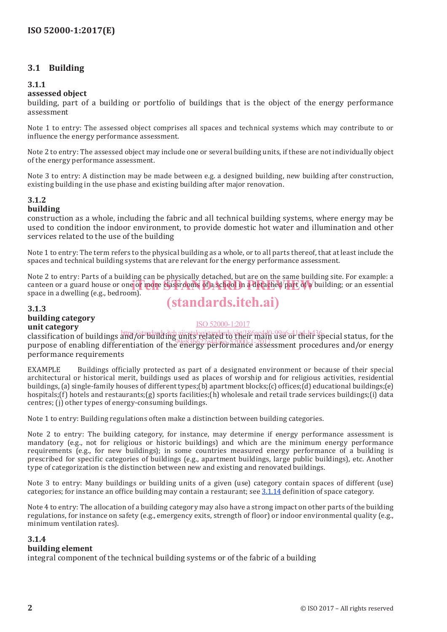### **3.1 Building**

#### **3.1.1**

#### **assessed object**

building, part of a building or portfolio of buildings that is the object of the energy performance assessment

Note 1 to entry: The assessed object comprises all spaces and technical systems which may contribute to or influence the energy performance assessment.

Note 2 to entry: The assessed object may include one or several building units, if these are not individually object of the energy performance assessment.

Note 3 to entry: A distinction may be made between e.g. a designed building, new building after construction, existing building in the use phase and existing building after major renovation.

### **3.1.2**

#### **building**

construction as a whole, including the fabric and all technical building systems, where energy may be used to condition the indoor environment, to provide domestic hot water and illumination and other services related to the use of the building

Note 1 to entry: The term refers to the physical building as a whole, or to all parts thereof, that at least include the spaces and technical building systems that are relevant for the energy performance assessment.

Note 2 to entry: Parts of a building can be physically detached, but are on the same building site. For example: a roce 2 to entry. Farts or a building can be physically detached, but are on the same building site. For example, a<br>canteen or a guard house or one or more classrooms of a school in a detached part of a building; or an esse space in a dwelling (e.g., bedroom).

# (standards.iteh.ai)

#### **3.1.3 building category unit category**

#### ISO 52000-1:2017

and category<br>classification of buildings and/or building units related to their main use of their special status, for the purpose of enabling differentiation of the energy performance assessment procedures and/or energy purpose of enabling differentiation of the energy performance requirements

EXAMPLE Buildings officially protected as part of a designated environment or because of their special architectural or historical merit, buildings used as places of worship and for religious activities, residential buildings, (a) single-family houses of different types;(b) apartment blocks;(c) offices;(d) educational buildings;(e) hospitals;(f) hotels and restaurants;(g) sports facilities;(h) wholesale and retail trade services buildings;(i) data centres; (j) other types of energy-consuming buildings.

Note 1 to entry: Building regulations often make a distinction between building categories.

Note 2 to entry: The building category, for instance, may determine if energy performance assessment is mandatory (e.g., not for religious or historic buildings) and which are the minimum energy performance requirements (e.g., for new buildings); in some countries measured energy performance of a building is prescribed for specific categories of buildings (e.g., apartment buildings, large public buildings), etc. Another type of categorization is the distinction between new and existing and renovated buildings.

Note 3 to entry: Many buildings or building units of a given (use) category contain spaces of different (use) categories; for instance an office building may contain a restaurant; see 3.1.14 definition of space category.

Note 4 to entry: The allocation of a building category may also have a strong impact on other parts of the building regulations, for instance on safety (e.g., emergency exits, strength of floor) or indoor environmental quality (e.g., minimum ventilation rates).

## **3.1.4**

#### **building element**

integral component of the technical building systems or of the fabric of a building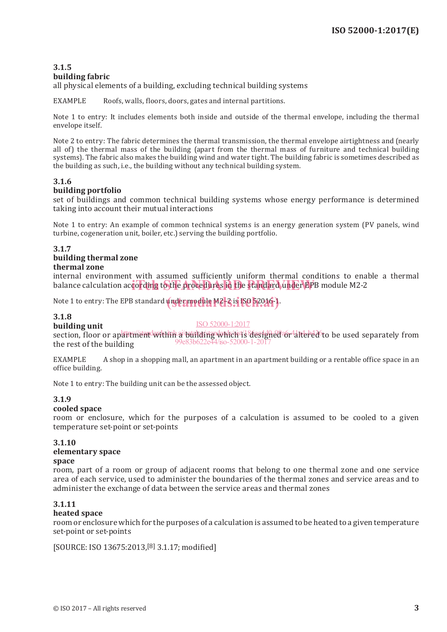## **3.1.5**

#### **building fabric**

all physical elements of a building, excluding technical building systems

EXAMPLE Roofs, walls, floors, doors, gates and internal partitions.

Note 1 to entry: It includes elements both inside and outside of the thermal envelope, including the thermal envelope itself.

Note 2 to entry: The fabric determines the thermal transmission, the thermal envelope airtightness and (nearly all of) the thermal mass of the building (apart from the thermal mass of furniture and technical building systems). The fabric also makes the building wind and water tight. The building fabric is sometimes described as the building as such, i.e., the building without any technical building system.

#### **3.1.6**

#### **building portfolio**

set of buildings and common technical building systems whose energy performance is determined taking into account their mutual interactions

Note 1 to entry: An example of common technical systems is an energy generation system (PV panels, wind turbine, cogeneration unit, boiler, etc.) serving the building portfolio.

## **3.1.7 building thermal zone**

### **thermal zone**

**building unit**

internal environment with assumed sufficiently uniform thermal conditions to enable a thermal balance calculation according to the procedures in the standard under EPB module M2-2

Note 1 to entry: The EPB standard under module M2–2 is ISO 52016-).

#### **3.1.8**

#### ISO 52000-1:2017

section, floor or apatriment within a building dank is 186ae4dned or altered to be used separately from the rest of the building 99e83b622e44/iso-52000-1-2017

EXAMPLE A shop in a shopping mall, an apartment in an apartment building or a rentable office space in an office building.

Note 1 to entry: The building unit can be the assessed object.

#### **3.1.9**

#### **cooled space**

room or enclosure, which for the purposes of a calculation is assumed to be cooled to a given temperature set-point or set-points

## **3.1.10**

#### **elementary space**

#### **space**

room, part of a room or group of adjacent rooms that belong to one thermal zone and one service area of each service, used to administer the boundaries of the thermal zones and service areas and to administer the exchange of data between the service areas and thermal zones

#### **3.1.11**

#### **heated space**

room or enclosure which for the purposes of a calculation is assumed to be heated to a given temperature set-point or set-points

[SOURCE: ISO 13675:2013,<sup>[8]</sup> 3.1.17; modified]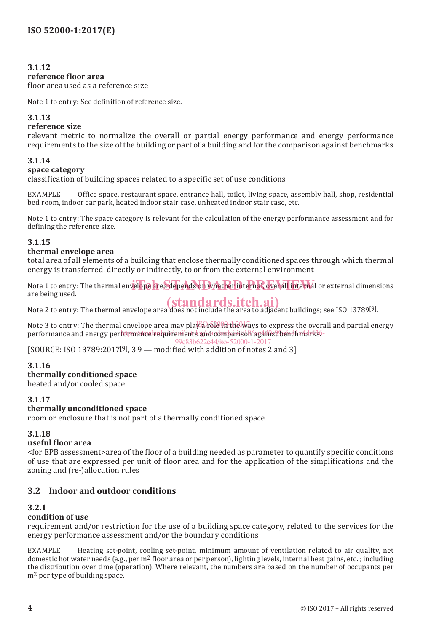#### **3.1.12**

#### **reference floor area**

floor area used as a reference size

Note 1 to entry: See definition of reference size.

#### **3.1.13**

#### **reference size**

relevant metric to normalize the overall or partial energy performance and energy performance requirements to the size of the building or part of a building and for the comparison against benchmarks

#### **3.1.14**

#### **space category**

classification of building spaces related to a specific set of use conditions

EXAMPLE Office space, restaurant space, entrance hall, toilet, living space, assembly hall, shop, residential bed room, indoor car park, heated indoor stair case, unheated indoor stair case, etc.

Note 1 to entry: The space category is relevant for the calculation of the energy performance assessment and for defining the reference size.

#### **3.1.15**

#### **thermal envelope area**

total area of all elements of a building that enclose thermally conditioned spaces through which thermal energy is transferred, directly or indirectly, to or from the external environment

Note 1 to entry: The thermal envelope area depends on whether internal, overall internal or external dimensions<br>are heing used are being used.

Note 2 to entry: The thermal envelope area does not include the area to adjacent buildings; see ISO 13789[9]. (standards.iteh.ai)

Note 3 to entry: The thermal envelope area may play a rôle in the ways to express the overall and partial energy performance and energy performance requirements and comparison against benchmarks.

99e83b622e44/iso-52000-1-2017

[SOURCE: ISO 13789:2017[9], 3.9 — modified with addition of notes 2 and 3]

#### **3.1.16**

#### **thermally conditioned space**

heated and/or cooled space

#### **3.1.17**

#### **thermally unconditioned space**

room or enclosure that is not part of a thermally conditioned space

#### **3.1.18**

#### **useful floor area**

<for EPB assessment>area of the floor of a building needed as parameter to quantify specific conditions of use that are expressed per unit of floor area and for the application of the simplifications and the zoning and (re-)allocation rules

#### **3.2 Indoor and outdoor conditions**

#### **3.2.1**

#### **condition of use**

requirement and/or restriction for the use of a building space category, related to the services for the energy performance assessment and/or the boundary conditions

EXAMPLE Heating set-point, cooling set-point, minimum amount of ventilation related to air quality, net domestic hot water needs (e.g., per m2 floor area or per person), lighting levels, internal heat gains, etc. ; including the distribution over time (operation). Where relevant, the numbers are based on the number of occupants per m2 per type of building space.